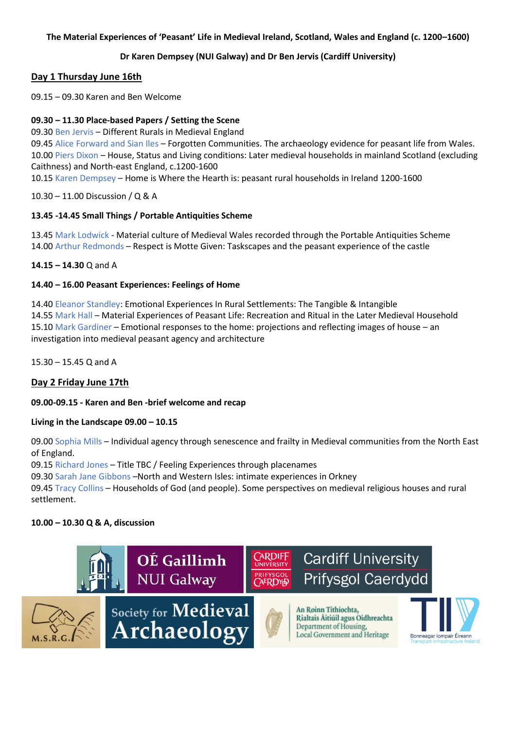### **The Material Experiences of 'Peasant' Life in Medieval Ireland, Scotland, Wales and England (c. 1200–1600)**

# **Dr Karen Dempsey (NUI Galway) and Dr Ben Jervis (Cardiff University)**

# **Day 1 Thursday June 16th**

09.15 – 09.30 Karen and Ben Welcome

### **09.30 – 11.30 Place-based Papers / Setting the Scene**

09.30 Ben Jervis – Different Rurals in Medieval England

09.45 Alice Forward and Sian Iles – Forgotten Communities. The archaeology evidence for peasant life from Wales. 10.00 Piers Dixon – House, Status and Living conditions: Later medieval households in mainland Scotland (excluding Caithness) and North-east England, c.1200-1600

10.15 Karen Dempsey – Home is Where the Hearth is: peasant rural households in Ireland 1200-1600

10.30 – 11.00 Discussion / Q & A

## **13.45 -14.45 Small Things / Portable Antiquities Scheme**

13.45 Mark Lodwick - Material culture of Medieval Wales recorded through the Portable Antiquities Scheme 14.00 Arthur Redmonds – Respect is Motte Given: Taskscapes and the peasant experience of the castle

### **14.15 – 14.30** Q and A

### **14.40 – 16.00 Peasant Experiences: Feelings of Home**

14.40 Eleanor Standley: Emotional Experiences In Rural Settlements: The Tangible & Intangible 14.55 Mark Hall – Material Experiences of Peasant Life: Recreation and Ritual in the Later Medieval Household 15.10 Mark Gardiner – Emotional responses to the home: projections and reflecting images of house – an investigation into medieval peasant agency and architecture

15.30 – 15.45 Q and A

# **Day 2 Friday June 17th**

### **09.00-09.15 - Karen and Ben -brief welcome and recap**

### **Living in the Landscape 09.00 – 10.15**

09.00 Sophia Mills – Individual agency through senescence and frailty in Medieval communities from the North East of England.

09.15 Richard Jones – Title TBC / Feeling Experiences through placenames

09.30 Sarah Jane Gibbons –North and Western Isles: intimate experiences in Orkney

09.45 Tracy Collins – Households of God (and people). Some perspectives on medieval religious houses and rural settlement.

### **10.00 – 10.30 Q & A, discussion**